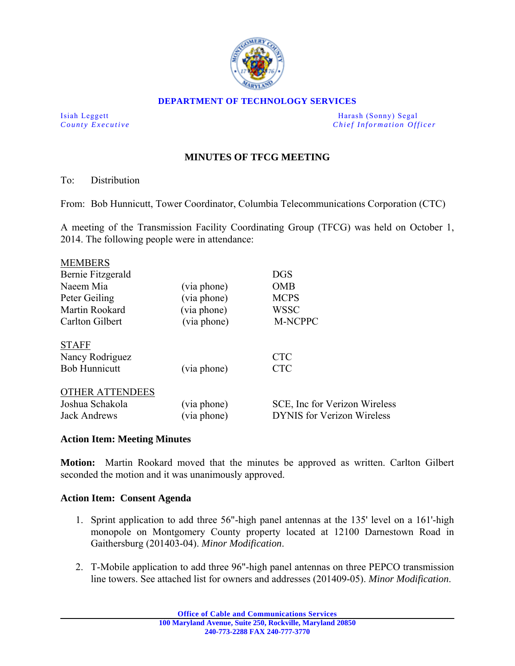

#### **DEPARTMENT OF TECHNOLOGY SERVICES**

Isiah Leggett Harash (Sonny) Segal *County Executive* **Countries and** *Chief Information Officer Chief Information Officer* 

# **MINUTES OF TFCG MEETING**

To: Distribution

From: Bob Hunnicutt, Tower Coordinator, Columbia Telecommunications Corporation (CTC)

A meeting of the Transmission Facility Coordinating Group (TFCG) was held on October 1, 2014. The following people were in attendance:

| <b>MEMBERS</b>         |             |                                   |
|------------------------|-------------|-----------------------------------|
| Bernie Fitzgerald      |             | <b>DGS</b>                        |
| Naeem Mia              | (via phone) | <b>OMB</b>                        |
| Peter Geiling          | (via phone) | <b>MCPS</b>                       |
| Martin Rookard         | (via phone) | <b>WSSC</b>                       |
| <b>Carlton Gilbert</b> | (via phone) | <b>M-NCPPC</b>                    |
| <b>STAFF</b>           |             |                                   |
| Nancy Rodriguez        |             | <b>CTC</b>                        |
| <b>Bob Hunnicutt</b>   | (via phone) | <b>CTC</b>                        |
| <b>OTHER ATTENDEES</b> |             |                                   |
| Joshua Schakola        | (via phone) | SCE, Inc for Verizon Wireless     |
| <b>Jack Andrews</b>    | (via phone) | <b>DYNIS</b> for Verizon Wireless |
|                        |             |                                   |

#### **Action Item: Meeting Minutes**

**Motion:** Martin Rookard moved that the minutes be approved as written. Carlton Gilbert seconded the motion and it was unanimously approved.

#### **Action Item: Consent Agenda**

- 1. Sprint application to add three 56"-high panel antennas at the 135' level on a 161'-high monopole on Montgomery County property located at 12100 Darnestown Road in Gaithersburg (201403-04). *Minor Modification*.
- 2. T-Mobile application to add three 96"-high panel antennas on three PEPCO transmission line towers. See attached list for owners and addresses (201409-05). *Minor Modification*.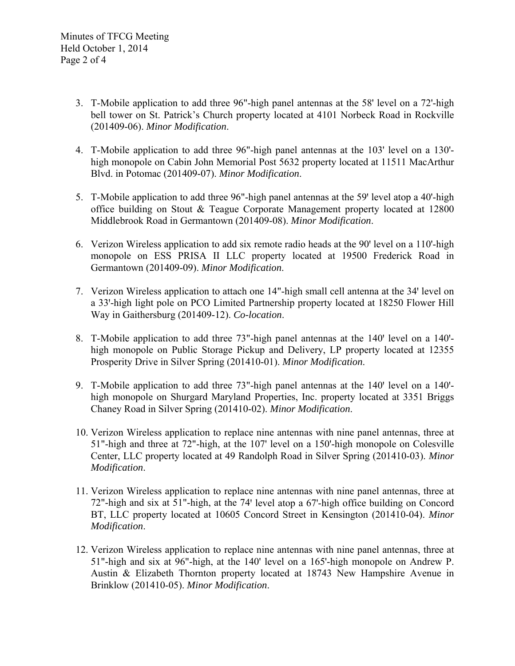- 3. T-Mobile application to add three 96"-high panel antennas at the 58' level on a 72'-high bell tower on St. Patrick's Church property located at 4101 Norbeck Road in Rockville (201409-06). *Minor Modification*.
- 4. T-Mobile application to add three 96"-high panel antennas at the 103' level on a 130' high monopole on Cabin John Memorial Post 5632 property located at 11511 MacArthur Blvd. in Potomac (201409-07). *Minor Modification*.
- 5. T-Mobile application to add three 96"-high panel antennas at the 59' level atop a 40'-high office building on Stout & Teague Corporate Management property located at 12800 Middlebrook Road in Germantown (201409-08). *Minor Modification*.
- 6. Verizon Wireless application to add six remote radio heads at the 90' level on a 110'-high monopole on ESS PRISA II LLC property located at 19500 Frederick Road in Germantown (201409-09). *Minor Modification*.
- 7. Verizon Wireless application to attach one 14"-high small cell antenna at the 34' level on a 33'-high light pole on PCO Limited Partnership property located at 18250 Flower Hill Way in Gaithersburg (201409-12). *Co-location*.
- 8. T-Mobile application to add three 73"-high panel antennas at the 140' level on a 140'high monopole on Public Storage Pickup and Delivery, LP property located at 12355 Prosperity Drive in Silver Spring (201410-01). *Minor Modification*.
- 9. T-Mobile application to add three 73"-high panel antennas at the 140' level on a 140'high monopole on Shurgard Maryland Properties, Inc. property located at 3351 Briggs Chaney Road in Silver Spring (201410-02). *Minor Modification*.
- 10. Verizon Wireless application to replace nine antennas with nine panel antennas, three at 51"-high and three at 72"-high, at the 107' level on a 150'-high monopole on Colesville Center, LLC property located at 49 Randolph Road in Silver Spring (201410-03). *Minor Modification*.
- 11. Verizon Wireless application to replace nine antennas with nine panel antennas, three at 72"-high and six at 51"-high, at the 74' level atop a 67'-high office building on Concord BT, LLC property located at 10605 Concord Street in Kensington (201410-04). *Minor Modification*.
- 12. Verizon Wireless application to replace nine antennas with nine panel antennas, three at 51"-high and six at 96"-high, at the 140' level on a 165'-high monopole on Andrew P. Austin & Elizabeth Thornton property located at 18743 New Hampshire Avenue in Brinklow (201410-05). *Minor Modification*.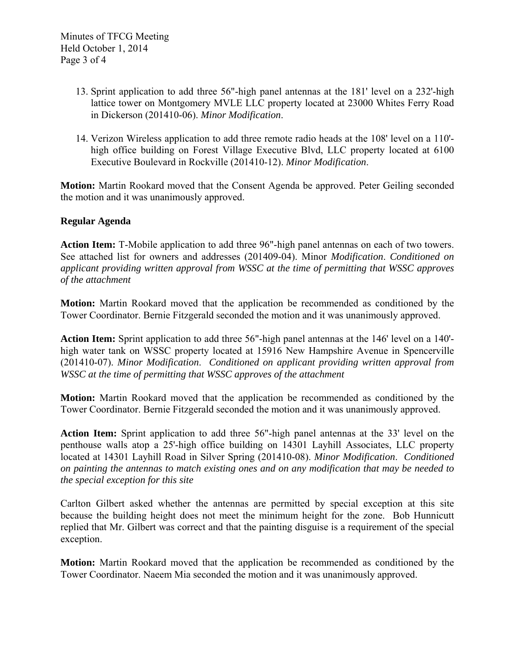Minutes of TFCG Meeting Held October 1, 2014 Page 3 of 4

- 13. Sprint application to add three 56"-high panel antennas at the 181' level on a 232'-high lattice tower on Montgomery MVLE LLC property located at 23000 Whites Ferry Road in Dickerson (201410-06). *Minor Modification*.
- 14. Verizon Wireless application to add three remote radio heads at the 108' level on a 110' high office building on Forest Village Executive Blvd, LLC property located at 6100 Executive Boulevard in Rockville (201410-12). *Minor Modification*.

**Motion:** Martin Rookard moved that the Consent Agenda be approved. Peter Geiling seconded the motion and it was unanimously approved.

## **Regular Agenda**

**Action Item:** T-Mobile application to add three 96"-high panel antennas on each of two towers. See attached list for owners and addresses (201409-04). Minor *Modification*. *Conditioned on applicant providing written approval from WSSC at the time of permitting that WSSC approves of the attachment*

**Motion:** Martin Rookard moved that the application be recommended as conditioned by the Tower Coordinator. Bernie Fitzgerald seconded the motion and it was unanimously approved.

**Action Item:** Sprint application to add three 56"-high panel antennas at the 146' level on a 140' high water tank on WSSC property located at 15916 New Hampshire Avenue in Spencerville (201410-07). *Minor Modification*. *Conditioned on applicant providing written approval from WSSC at the time of permitting that WSSC approves of the attachment*

**Motion:** Martin Rookard moved that the application be recommended as conditioned by the Tower Coordinator. Bernie Fitzgerald seconded the motion and it was unanimously approved.

**Action Item:** Sprint application to add three 56"-high panel antennas at the 33' level on the penthouse walls atop a 25'-high office building on 14301 Layhill Associates, LLC property located at 14301 Layhill Road in Silver Spring (201410-08). *Minor Modification*. *Conditioned on painting the antennas to match existing ones and on any modification that may be needed to the special exception for this site* 

Carlton Gilbert asked whether the antennas are permitted by special exception at this site because the building height does not meet the minimum height for the zone. Bob Hunnicutt replied that Mr. Gilbert was correct and that the painting disguise is a requirement of the special exception.

**Motion:** Martin Rookard moved that the application be recommended as conditioned by the Tower Coordinator. Naeem Mia seconded the motion and it was unanimously approved.